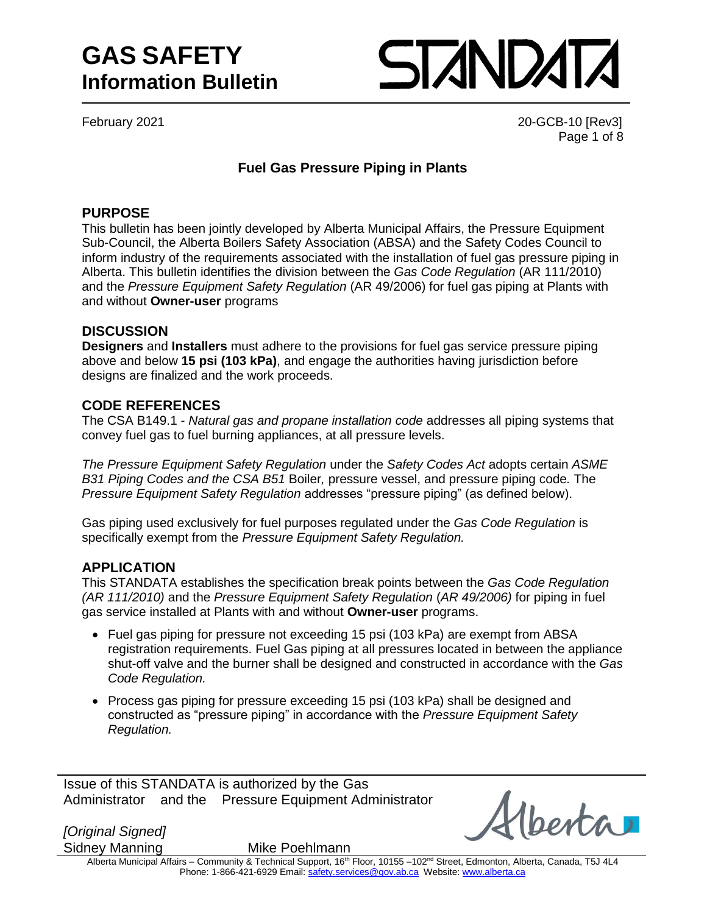### **GAS SAFETY Information Bulletin**

# STANDATA

February 2021 20-GCB-10 [Rev3] Page 1 of 8

#### **Fuel Gas Pressure Piping in Plants**

#### **PURPOSE**

This bulletin has been jointly developed by Alberta Municipal Affairs, the Pressure Equipment Sub-Council, the Alberta Boilers Safety Association (ABSA) and the Safety Codes Council to inform industry of the requirements associated with the installation of fuel gas pressure piping in Alberta. This bulletin identifies the division between the *Gas Code Regulation* (AR 111/2010) and the *Pressure Equipment Safety Regulation* (AR 49/2006) for fuel gas piping at Plants with and without **Owner-user** programs

#### **DISCUSSION**

**Designers** and **Installers** must adhere to the provisions for fuel gas service pressure piping above and below **15 psi (103 kPa)**, and engage the authorities having jurisdiction before designs are finalized and the work proceeds.

#### **CODE REFERENCES**

The CSA B149.1 - *Natural gas and propane installation code* addresses all piping systems that convey fuel gas to fuel burning appliances, at all pressure levels.

*The Pressure Equipment Safety Regulation* under the *Safety Codes Act* adopts certain *ASME B31 Piping Codes and the CSA B51* Boiler*,* pressure vessel, and pressure piping code*.* The *Pressure Equipment Safety Regulation* addresses "pressure piping" (as defined below).

Gas piping used exclusively for fuel purposes regulated under the *Gas Code Regulation* is specifically exempt from the *Pressure Equipment Safety Regulation.* 

#### **APPLICATION**

This STANDATA establishes the specification break points between the *Gas Code Regulation (AR 111/2010)* and the *Pressure Equipment Safety Regulation* (*AR 49/2006)* for piping in fuel gas service installed at Plants with and without **Owner-user** programs.

- Fuel gas piping for pressure not exceeding 15 psi (103 kPa) are exempt from ABSA registration requirements. Fuel Gas piping at all pressures located in between the appliance shut-off valve and the burner shall be designed and constructed in accordance with the *Gas Code Regulation.*
- Process gas piping for pressure exceeding 15 psi (103 kPa) shall be designed and constructed as "pressure piping" in accordance with the *Pressure Equipment Safety Regulation.*

Issue of this STANDATA is authorized by the Gas Administrator and the Pressure Equipment Administrator

*[Original Signed]*

Sidney Manning Mike Poehlmann

Alberta Municipal Affairs – Community & Technical Support, 16<sup>th</sup> Floor, 10155 –102<sup>nd</sup> Street, Edmonton, Alberta, Canada, T5J 4L4 Phone: 1-866-421-6929 Email: [safety.services@gov.ab.ca](mailto:safety.services@gov.ab.ca) Website[: www.alberta.ca](http://www.alberta.ca/)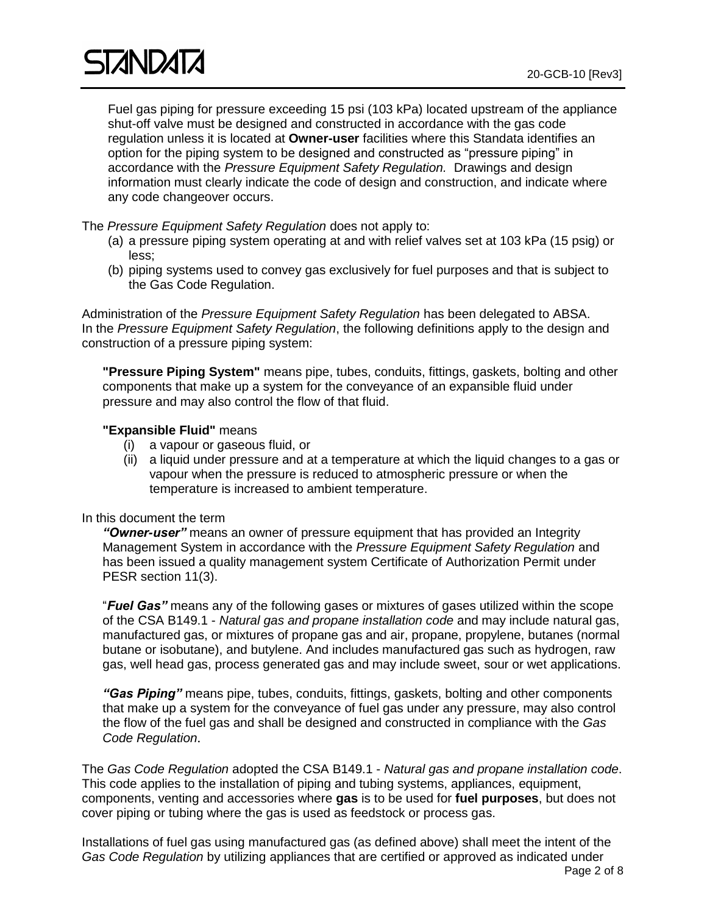Fuel gas piping for pressure exceeding 15 psi (103 kPa) located upstream of the appliance shut-off valve must be designed and constructed in accordance with the gas code regulation unless it is located at **Owner-user** facilities where this Standata identifies an option for the piping system to be designed and constructed as "pressure piping" in accordance with the *Pressure Equipment Safety Regulation.* Drawings and design information must clearly indicate the code of design and construction, and indicate where any code changeover occurs.

The *Pressure Equipment Safety Regulation* does not apply to:

- (a) a pressure piping system operating at and with relief valves set at 103 kPa (15 psig) or less;
- (b) piping systems used to convey gas exclusively for fuel purposes and that is subject to the Gas Code Regulation.

Administration of the *Pressure Equipment Safety Regulation* has been delegated to ABSA. In the *Pressure Equipment Safety Regulation*, the following definitions apply to the design and construction of a pressure piping system:

**"Pressure Piping System"** means pipe, tubes, conduits, fittings, gaskets, bolting and other components that make up a system for the conveyance of an expansible fluid under pressure and may also control the flow of that fluid.

#### **"Expansible Fluid"** means

- (i) a vapour or gaseous fluid, or
- (ii) a liquid under pressure and at a temperature at which the liquid changes to a gas or vapour when the pressure is reduced to atmospheric pressure or when the temperature is increased to ambient temperature.

#### In this document the term

*"Owner-user"* means an owner of pressure equipment that has provided an Integrity Management System in accordance with the *Pressure Equipment Safety Regulation* and has been issued a quality management system Certificate of Authorization Permit under PESR section 11(3).

"*Fuel Gas"* means any of the following gases or mixtures of gases utilized within the scope of the CSA B149.1 - *Natural gas and propane installation code* and may include natural gas, manufactured gas, or mixtures of propane gas and air, propane, propylene, butanes (normal butane or isobutane), and butylene. And includes manufactured gas such as hydrogen, raw gas, well head gas, process generated gas and may include sweet, sour or wet applications.

*"Gas Piping"* means pipe, tubes, conduits, fittings, gaskets, bolting and other components that make up a system for the conveyance of fuel gas under any pressure, may also control the flow of the fuel gas and shall be designed and constructed in compliance with the *Gas Code Regulation*.

The *Gas Code Regulation* adopted the CSA B149.1 - *Natural gas and propane installation code*. This code applies to the installation of piping and tubing systems, appliances, equipment, components, venting and accessories where **gas** is to be used for **fuel purposes**, but does not cover piping or tubing where the gas is used as feedstock or process gas.

Page 2 of 8 Installations of fuel gas using manufactured gas (as defined above) shall meet the intent of the *Gas Code Regulation* by utilizing appliances that are certified or approved as indicated under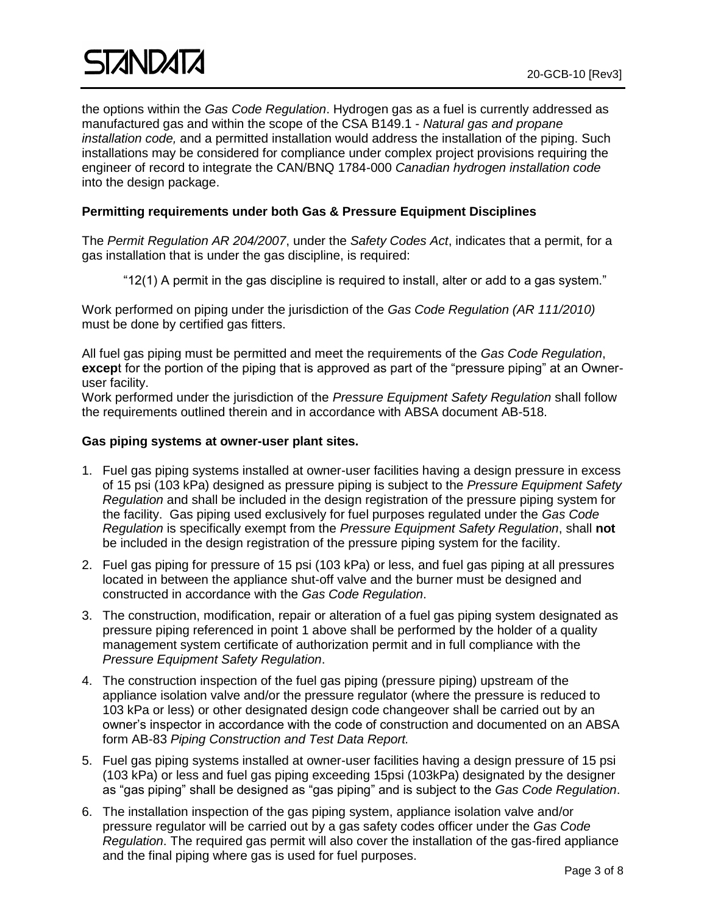the options within the *Gas Code Regulation*. Hydrogen gas as a fuel is currently addressed as manufactured gas and within the scope of the CSA B149.1 - *Natural gas and propane installation code,* and a permitted installation would address the installation of the piping. Such installations may be considered for compliance under complex project provisions requiring the engineer of record to integrate the CAN/BNQ 1784-000 *Canadian hydrogen installation code* into the design package.

#### **Permitting requirements under both Gas & Pressure Equipment Disciplines**

The *Permit Regulation AR 204/2007*, under the *Safety Codes Act*, indicates that a permit, for a gas installation that is under the gas discipline, is required:

"12(1) A permit in the gas discipline is required to install, alter or add to a gas system."

Work performed on piping under the jurisdiction of the *Gas Code Regulation (AR 111/2010)* must be done by certified gas fitters.

All fuel gas piping must be permitted and meet the requirements of the *Gas Code Regulation*, **excep**t for the portion of the piping that is approved as part of the "pressure piping" at an Owneruser facility.

Work performed under the jurisdiction of the *Pressure Equipment Safety Regulation* shall follow the requirements outlined therein and in accordance with ABSA document AB-518.

#### **Gas piping systems at owner-user plant sites.**

- 1. Fuel gas piping systems installed at owner-user facilities having a design pressure in excess of 15 psi (103 kPa) designed as pressure piping is subject to the *Pressure Equipment Safety Regulation* and shall be included in the design registration of the pressure piping system for the facility. Gas piping used exclusively for fuel purposes regulated under the *Gas Code Regulation* is specifically exempt from the *Pressure Equipment Safety Regulation*, shall **not** be included in the design registration of the pressure piping system for the facility.
- 2. Fuel gas piping for pressure of 15 psi (103 kPa) or less, and fuel gas piping at all pressures located in between the appliance shut-off valve and the burner must be designed and constructed in accordance with the *Gas Code Regulation*.
- 3. The construction, modification, repair or alteration of a fuel gas piping system designated as pressure piping referenced in point 1 above shall be performed by the holder of a quality management system certificate of authorization permit and in full compliance with the *Pressure Equipment Safety Regulation*.
- 4. The construction inspection of the fuel gas piping (pressure piping) upstream of the appliance isolation valve and/or the pressure regulator (where the pressure is reduced to 103 kPa or less) or other designated design code changeover shall be carried out by an owner's inspector in accordance with the code of construction and documented on an ABSA form AB-83 *Piping Construction and Test Data Report.*
- 5. Fuel gas piping systems installed at owner-user facilities having a design pressure of 15 psi (103 kPa) or less and fuel gas piping exceeding 15psi (103kPa) designated by the designer as "gas piping" shall be designed as "gas piping" and is subject to the *Gas Code Regulation*.
- 6. The installation inspection of the gas piping system, appliance isolation valve and/or pressure regulator will be carried out by a gas safety codes officer under the *Gas Code Regulation*. The required gas permit will also cover the installation of the gas-fired appliance and the final piping where gas is used for fuel purposes.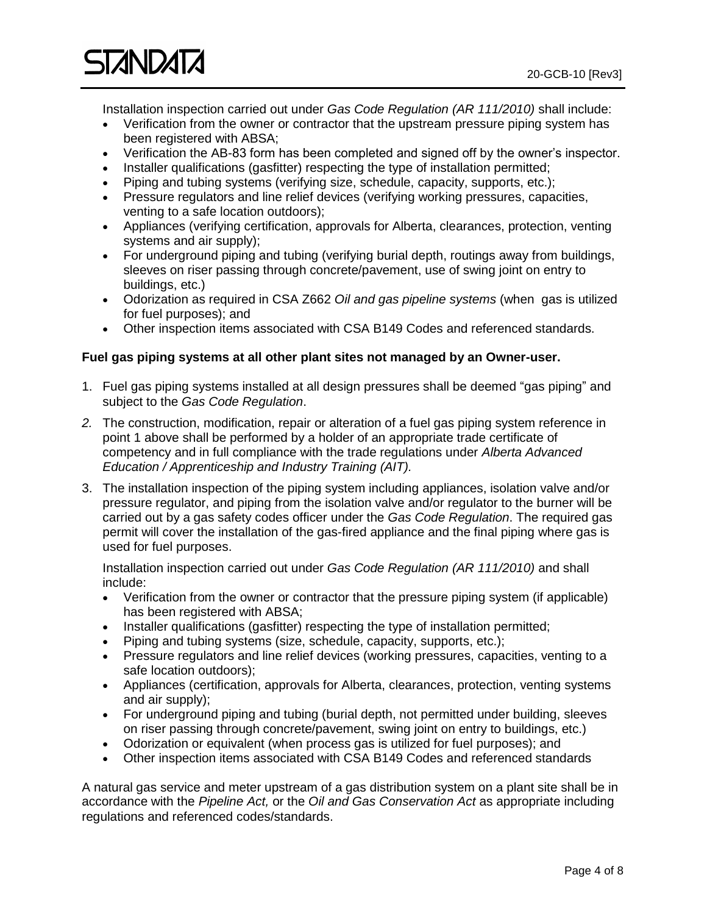

Installation inspection carried out under *Gas Code Regulation (AR 111/2010)* shall include:

- Verification from the owner or contractor that the upstream pressure piping system has been registered with ABSA;
- Verification the AB-83 form has been completed and signed off by the owner's inspector.
- Installer qualifications (gasfitter) respecting the type of installation permitted;
- Piping and tubing systems (verifying size, schedule, capacity, supports, etc.);
- Pressure regulators and line relief devices (verifying working pressures, capacities, venting to a safe location outdoors);
- Appliances (verifying certification, approvals for Alberta, clearances, protection, venting systems and air supply);
- For underground piping and tubing (verifying burial depth, routings away from buildings, sleeves on riser passing through concrete/pavement, use of swing joint on entry to buildings, etc.)
- Odorization as required in CSA Z662 *Oil and gas pipeline systems* (when gas is utilized for fuel purposes); and
- Other inspection items associated with CSA B149 Codes and referenced standards.

#### **Fuel gas piping systems at all other plant sites not managed by an Owner-user.**

- 1. Fuel gas piping systems installed at all design pressures shall be deemed "gas piping" and subject to the *Gas Code Regulation*.
- *2.* The construction, modification, repair or alteration of a fuel gas piping system reference in point 1 above shall be performed by a holder of an appropriate trade certificate of competency and in full compliance with the trade regulations under *Alberta Advanced Education / Apprenticeship and Industry Training (AIT).*
- 3. The installation inspection of the piping system including appliances, isolation valve and/or pressure regulator, and piping from the isolation valve and/or regulator to the burner will be carried out by a gas safety codes officer under the *Gas Code Regulation*. The required gas permit will cover the installation of the gas-fired appliance and the final piping where gas is used for fuel purposes.

Installation inspection carried out under *Gas Code Regulation (AR 111/2010)* and shall include:

- Verification from the owner or contractor that the pressure piping system (if applicable) has been registered with ABSA;
- Installer qualifications (gasfitter) respecting the type of installation permitted;
- Piping and tubing systems (size, schedule, capacity, supports, etc.);
- Pressure regulators and line relief devices (working pressures, capacities, venting to a safe location outdoors);
- Appliances (certification, approvals for Alberta, clearances, protection, venting systems and air supply);
- For underground piping and tubing (burial depth, not permitted under building, sleeves on riser passing through concrete/pavement, swing joint on entry to buildings, etc.)
- Odorization or equivalent (when process gas is utilized for fuel purposes); and
- Other inspection items associated with CSA B149 Codes and referenced standards

A natural gas service and meter upstream of a gas distribution system on a plant site shall be in accordance with the *Pipeline Act,* or the *Oil and Gas Conservation Act* as appropriate including regulations and referenced codes/standards.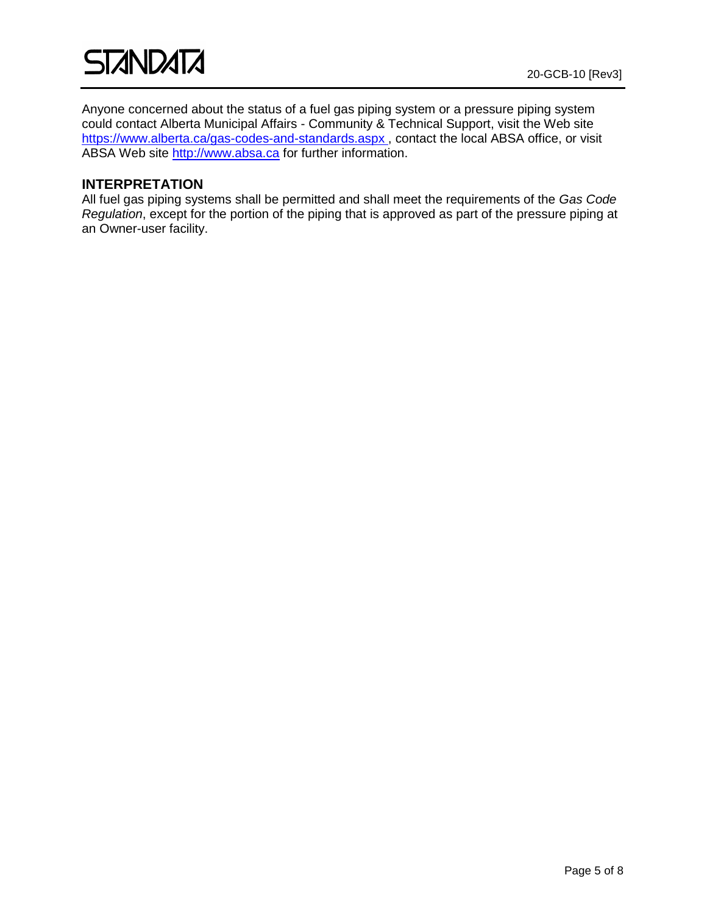Anyone concerned about the status of a fuel gas piping system or a pressure piping system could contact Alberta Municipal Affairs - Community & Technical Support, visit the Web site <https://www.alberta.ca/gas-codes-and-standards.aspx>, contact the local ABSA office, or visit ABSA Web site [http://www.absa.ca](http://www.absa.ca/) for further information.

#### **INTERPRETATION**

All fuel gas piping systems shall be permitted and shall meet the requirements of the *Gas Code Regulation*, except for the portion of the piping that is approved as part of the pressure piping at an Owner-user facility.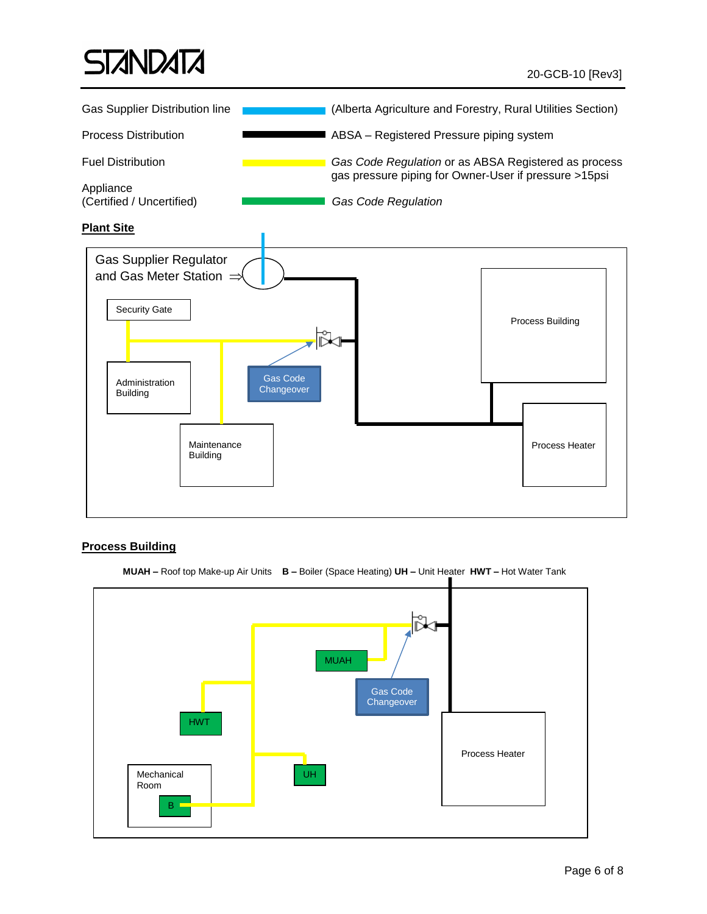## **STANDATA**



#### **Process Building**



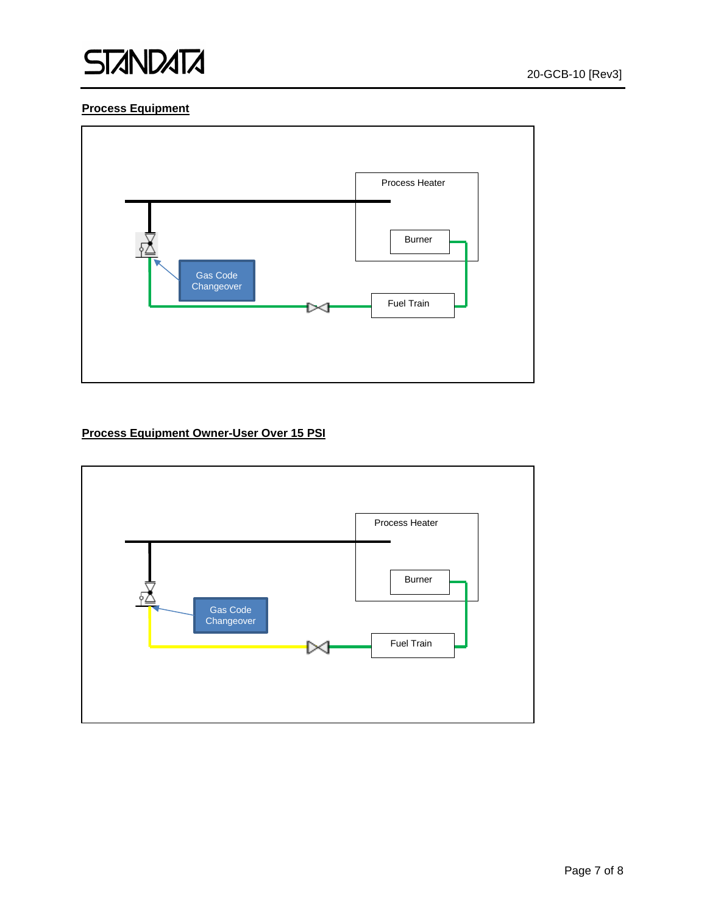

#### **Process Equipment**



#### **Process Equipment Owner-User Over 15 PSI**